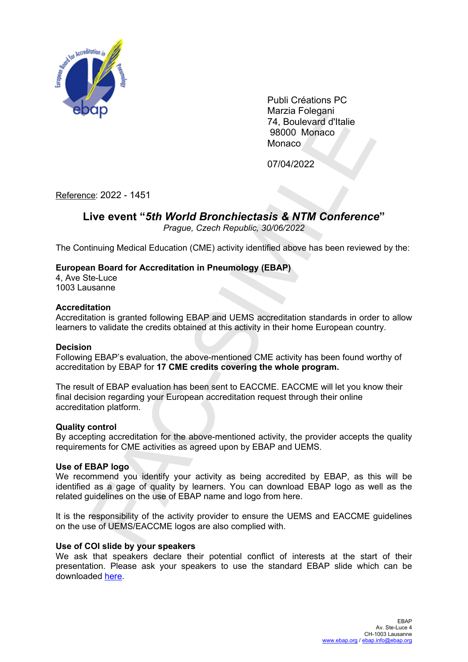

Publi Créations PC Marzia Folegani 74, Boulevard d'Italie 98000 Monaco **Monaco** 

07/04/2022

Reference: 2022 - 1451

# **Live event "***5th World Bronchiectasis & NTM Conference***"**

*Prague, Czech Republic, 30/06/2022*

The Continuing Medical Education (CME) activity identified above has been reviewed by the:

## **European Board for Accreditation in Pneumology (EBAP)**

4, Ave Ste-Luce 1003 Lausanne

#### **Accreditation**

Accreditation is granted following EBAP and UEMS accreditation standards in order to allow learners to validate the credits obtained at this activity in their home European country.

#### **Decision**

Following EBAP's evaluation, the above-mentioned CME activity has been found worthy of accreditation by EBAP for **17 CME credits covering the whole program.**

The result of EBAP evaluation has been sent to EACCME. EACCME will let you know their final decision regarding your European accreditation request through their online accreditation platform. wazlz rouggaint<br>
24. Boulevard d'Italie<br>
98000 Monaco<br>
27.022 - 1451<br> **EVENT WORTH CONTEST SAME CONTECT SET SAME CONTECT SET SAME CONTECT SET SAME CONTECT SAME CONTECT<br>
Frague, Czech Republic, 30/06/2022<br>
Hinuing Medical E** 

#### **Quality control**

By accepting accreditation for the above-mentioned activity, the provider accepts the quality requirements for CME activities as agreed upon by EBAP and UEMS.

#### **Use of EBAP logo**

We recommend you identify your activity as being accredited by EBAP, as this will be identified as a gage of quality by learners. You can download EBAP logo as well as the related guidelines on the use of EBAP name and logo from here.

It is the responsibility of the activity provider to ensure the UEMS and EACCME guidelines on the use of UEMS/EACCME logos are also complied with.

#### **Use of COI slide by your speakers**

We ask that speakers declare their potential conflict of interests at the start of their presentation. Please ask your speakers to use the standard EBAP slide which can be downloaded [here](https://www.ebap.org/library).